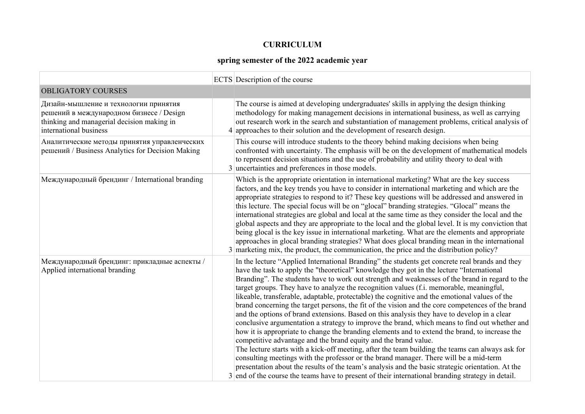## **CURRICULUM**

## **spring semester of the 2022 academic year**

|                                                                                                                                                           | ECTS Description of the course                                                                                                                                                                                                                                                                                                                                                                                                                                                                                                                                                                                                                                                                                                                                                                                                                                                                                                                                                                                                                                                                                                                                                                                                                                                                                                                                            |
|-----------------------------------------------------------------------------------------------------------------------------------------------------------|---------------------------------------------------------------------------------------------------------------------------------------------------------------------------------------------------------------------------------------------------------------------------------------------------------------------------------------------------------------------------------------------------------------------------------------------------------------------------------------------------------------------------------------------------------------------------------------------------------------------------------------------------------------------------------------------------------------------------------------------------------------------------------------------------------------------------------------------------------------------------------------------------------------------------------------------------------------------------------------------------------------------------------------------------------------------------------------------------------------------------------------------------------------------------------------------------------------------------------------------------------------------------------------------------------------------------------------------------------------------------|
| <b>OBLIGATORY COURSES</b>                                                                                                                                 |                                                                                                                                                                                                                                                                                                                                                                                                                                                                                                                                                                                                                                                                                                                                                                                                                                                                                                                                                                                                                                                                                                                                                                                                                                                                                                                                                                           |
| Дизайн-мышление и технологии принятия<br>решений в международном бизнесе / Design<br>thinking and managerial decision making in<br>international business | The course is aimed at developing undergraduates' skills in applying the design thinking<br>methodology for making management decisions in international business, as well as carrying<br>out research work in the search and substantiation of management problems, critical analysis of<br>$4$ approaches to their solution and the development of research design.                                                                                                                                                                                                                                                                                                                                                                                                                                                                                                                                                                                                                                                                                                                                                                                                                                                                                                                                                                                                     |
| Аналитические методы принятия управленческих<br>решений / Business Analytics for Decision Making                                                          | This course will introduce students to the theory behind making decisions when being<br>confronted with uncertainty. The emphasis will be on the development of mathematical models<br>to represent decision situations and the use of probability and utility theory to deal with<br>3 uncertainties and preferences in those models.                                                                                                                                                                                                                                                                                                                                                                                                                                                                                                                                                                                                                                                                                                                                                                                                                                                                                                                                                                                                                                    |
| Международный брендинг / International branding                                                                                                           | Which is the appropriate orientation in international marketing? What are the key success<br>factors, and the key trends you have to consider in international marketing and which are the<br>appropriate strategies to respond to it? These key questions will be addressed and answered in<br>this lecture. The special focus will be on "glocal" branding strategies. "Glocal" means the<br>international strategies are global and local at the same time as they consider the local and the<br>global aspects and they are appropriate to the local and the global level. It is my conviction that<br>being glocal is the key issue in international marketing. What are the elements and appropriate<br>approaches in glocal branding strategies? What does glocal branding mean in the international<br>3 marketing mix, the product, the communication, the price and the distribution policy?                                                                                                                                                                                                                                                                                                                                                                                                                                                                    |
| Международный брендинг: прикладные аспекты /<br>Applied international branding                                                                            | In the lecture "Applied International Branding" the students get concrete real brands and they<br>have the task to apply the "theoretical" knowledge they got in the lecture "International<br>Branding". The students have to work out strength and weaknesses of the brand in regard to the<br>target groups. They have to analyze the recognition values (f.i. memorable, meaningful,<br>likeable, transferable, adaptable, protectable) the cognitive and the emotional values of the<br>brand concerning the target persons, the fit of the vision and the core competences of the brand<br>and the options of brand extensions. Based on this analysis they have to develop in a clear<br>conclusive argumentation a strategy to improve the brand, which means to find out whether and<br>how it is appropriate to change the branding elements and to extend the brand, to increase the<br>competitive advantage and the brand equity and the brand value.<br>The lecture starts with a kick-off meeting, after the team building the teams can always ask for<br>consulting meetings with the professor or the brand manager. There will be a mid-term<br>presentation about the results of the team's analysis and the basic strategic orientation. At the<br>3 end of the course the teams have to present of their international branding strategy in detail. |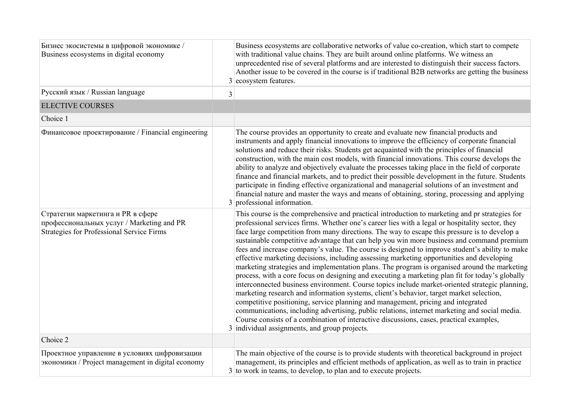| Бизнес экосистемы в цифровой экономике /<br>Business ecosystems in digital economy                                          |   | Business ecosystems are collaborative networks of value co-creation, which start to compete<br>with traditional value chains. They are built around online platforms. We witness an<br>unprecedented rise of several platforms and are interested to distinguish their success factors.<br>Another issue to be covered in the course is if traditional B2B networks are getting the business<br>$3$ ecosystem features.                                                                                                                                                                                                                                                                                                                                                                                                                                                                                                                                                                                                                                                                                                                                                                                                                                                                                                        |
|-----------------------------------------------------------------------------------------------------------------------------|---|--------------------------------------------------------------------------------------------------------------------------------------------------------------------------------------------------------------------------------------------------------------------------------------------------------------------------------------------------------------------------------------------------------------------------------------------------------------------------------------------------------------------------------------------------------------------------------------------------------------------------------------------------------------------------------------------------------------------------------------------------------------------------------------------------------------------------------------------------------------------------------------------------------------------------------------------------------------------------------------------------------------------------------------------------------------------------------------------------------------------------------------------------------------------------------------------------------------------------------------------------------------------------------------------------------------------------------|
| Русский язык / Russian language                                                                                             | 3 |                                                                                                                                                                                                                                                                                                                                                                                                                                                                                                                                                                                                                                                                                                                                                                                                                                                                                                                                                                                                                                                                                                                                                                                                                                                                                                                                |
| <b>ELECTIVE COURSES</b>                                                                                                     |   |                                                                                                                                                                                                                                                                                                                                                                                                                                                                                                                                                                                                                                                                                                                                                                                                                                                                                                                                                                                                                                                                                                                                                                                                                                                                                                                                |
| Choice 1                                                                                                                    |   |                                                                                                                                                                                                                                                                                                                                                                                                                                                                                                                                                                                                                                                                                                                                                                                                                                                                                                                                                                                                                                                                                                                                                                                                                                                                                                                                |
| Финансовое проектирование / Financial engineering                                                                           |   | The course provides an opportunity to create and evaluate new financial products and<br>instruments and apply financial innovations to improve the efficiency of corporate financial<br>solutions and reduce their risks. Students get acquainted with the principles of financial<br>construction, with the main cost models, with financial innovations. This course develops the<br>ability to analyze and objectively evaluate the processes taking place in the field of corporate<br>finance and financial markets, and to predict their possible development in the future. Students<br>participate in finding effective organizational and managerial solutions of an investment and<br>financial nature and master the ways and means of obtaining, storing, processing and applying<br>$3$ professional information.                                                                                                                                                                                                                                                                                                                                                                                                                                                                                                 |
| Стратегии маркетинга и PR в сфере<br>профессиональных услуг / Marketing and PR<br>Strategies for Professional Service Firms |   | This course is the comprehensive and practical introduction to marketing and pr strategies for<br>professional services firms. Whether one's career lies with a legal or hospitality sector, they<br>face large competition from many directions. The way to escape this pressure is to develop a<br>sustainable competitive advantage that can help you win more business and command premium<br>fees and increase company's value. The course is designed to improve student's ability to make<br>effective marketing decisions, including assessing marketing opportunities and developing<br>marketing strategies and implementation plans. The program is organised around the marketing<br>process, with a core focus on designing and executing a marketing plan fit for today's globally<br>interconnected business environment. Course topics include market-oriented strategic planning,<br>marketing research and information systems, client's behavior, target market selection,<br>competitive positioning, service planning and management, pricing and integrated<br>communications, including advertising, public relations, internet marketing and social media.<br>Course consists of a combination of interactive discussions, cases, practical examples,<br>3 individual assignments, and group projects. |
| Choice 2                                                                                                                    |   |                                                                                                                                                                                                                                                                                                                                                                                                                                                                                                                                                                                                                                                                                                                                                                                                                                                                                                                                                                                                                                                                                                                                                                                                                                                                                                                                |
| Проектное управление в условиях цифровизации<br>экономики / Project management in digital economy                           |   | The main objective of the course is to provide students with theoretical background in project<br>management, its principles and efficient methods of application, as well as to train in practice<br>$3$ to work in teams, to develop, to plan and to execute projects.                                                                                                                                                                                                                                                                                                                                                                                                                                                                                                                                                                                                                                                                                                                                                                                                                                                                                                                                                                                                                                                       |